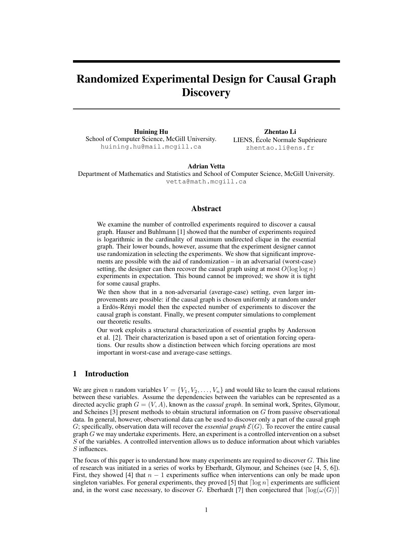# Randomized Experimental Design for Causal Graph **Discovery**

Huining Hu School of Computer Science, McGill University. huining.hu@mail.mcgill.ca

Zhentao Li LIENS, École Normale Supérieure zhentao.li@ens.fr

## Adrian Vetta

Department of Mathematics and Statistics and School of Computer Science, McGill University. vetta@math.mcgill.ca

## Abstract

We examine the number of controlled experiments required to discover a causal graph. Hauser and Buhlmann [1] showed that the number of experiments required is logarithmic in the cardinality of maximum undirected clique in the essential graph. Their lower bounds, however, assume that the experiment designer cannot use randomization in selecting the experiments. We show that significant improvements are possible with the aid of randomization – in an adversarial (worst-case) setting, the designer can then recover the causal graph using at most  $O(\log \log n)$ experiments in expectation. This bound cannot be improved; we show it is tight for some causal graphs.

We then show that in a non-adversarial (average-case) setting, even larger improvements are possible: if the causal graph is chosen uniformly at random under a Erdös-Rényi model then the expected number of experiments to discover the causal graph is constant. Finally, we present computer simulations to complement our theoretic results.

Our work exploits a structural characterization of essential graphs by Andersson et al. [2]. Their characterization is based upon a set of orientation forcing operations. Our results show a distinction between which forcing operations are most important in worst-case and average-case settings.

#### 1 Introduction

We are given n random variables  $V = \{V_1, V_2, \ldots, V_n\}$  and would like to learn the causal relations between these variables. Assume the dependencies between the variables can be represented as a directed acyclic graph  $G = (V, A)$ , known as the *causal graph*. In seminal work, Sprites, Glymour, and Scheines [3] present methods to obtain structural information on G from passive observational data. In general, however, observational data can be used to discover only a part of the causal graph G; specifically, observation data will recover the *essential graph*  $\mathcal{E}(G)$ . To recover the entire causal graph  $G$  we may undertake experiments. Here, an experiment is a controlled intervention on a subset S of the variables. A controlled intervention allows us to deduce information about which variables S influences.

The focus of this paper is to understand how many experiments are required to discover  $G$ . This line of research was initiated in a series of works by Eberhardt, Glymour, and Scheines (see [4, 5, 6]). First, they showed [4] that  $n - 1$  experiments suffice when interventions can only be made upon singleton variables. For general experiments, they proved [5] that  $\lceil \log n \rceil$  experiments are sufficient and, in the worst case necessary, to discover G. Eberhardt [7] then conjectured that  $\lceil \log(\omega(G)) \rceil$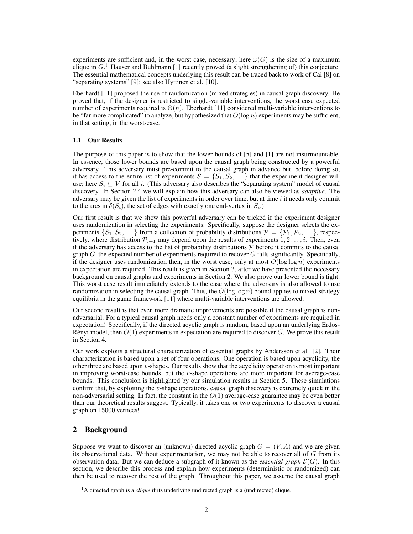experiments are sufficient and, in the worst case, necessary; here  $\omega(G)$  is the size of a maximum clique in  $G<sup>1</sup>$  Hauser and Buhlmann [1] recently proved (a slight strengthening of) this conjecture. The essential mathematical concepts underlying this result can be traced back to work of Cai [8] on "separating systems" [9]; see also Hyttinen et al. [10].

Eberhardt [11] proposed the use of randomization (mixed strategies) in causal graph discovery. He proved that, if the designer is restricted to single-variable interventions, the worst case expected number of experiments required is  $\Theta(n)$ . Eberhardt [11] considered multi-variable interventions to be "far more complicated" to analyze, but hypothesized that  $O(\log n)$  experiments may be sufficient, in that setting, in the worst-case.

## 1.1 Our Results

The purpose of this paper is to show that the lower bounds of [5] and [1] are not insurmountable. In essence, those lower bounds are based upon the causal graph being constructed by a powerful adversary. This adversary must pre-commit to the causal graph in advance but, before doing so, it has access to the entire list of experiments  $S = \{S_1, S_2, \dots\}$  that the experiment designer will use; here  $S_i \subseteq V$  for all i. (This adversary also describes the "separating system" model of causal discovery. In Section 2.4 we will explain how this adversary can also be viewed as *adaptive*. The adversary may be given the list of experiments in order over time, but at time  $i$  it needs only commit to the arcs in  $\delta(S_i)$ , the set of edges with exactly one end-vertex in  $S_i$ .)

Our first result is that we show this powerful adversary can be tricked if the experiment designer uses randomization in selecting the experiments. Specifically, suppose the designer selects the experiments  $\{S_1, S_2, \dots\}$  from a collection of probability distributions  $\mathcal{P} = \{\mathcal{P}_1, \mathcal{P}_2, \dots\}$ , respectively, where distribution  $\mathcal{P}_{i+1}$  may depend upon the results of experiments  $1, 2, \ldots, i$ . Then, even if the adversary has access to the list of probability distributions  $P$  before it commits to the causal graph  $G$ , the expected number of experiments required to recover  $G$  falls significantly. Specifically, if the designer uses randomization then, in the worst case, only at most  $O(\log \log n)$  experiments in expectation are required. This result is given in Section 3, after we have presented the necessary background on causal graphs and experiments in Section 2. We also prove our lower bound is tight. This worst case result immediately extends to the case where the adversary is also allowed to use randomization in selecting the causal graph. Thus, the  $O(\log \log n)$  bound applies to mixed-strategy equilibria in the game framework [11] where multi-variable interventions are allowed.

Our second result is that even more dramatic improvements are possible if the causal graph is nonadversarial. For a typical causal graph needs only a constant number of experiments are required in expectation! Specifically, if the directed acyclic graph is random, based upon an underlying Erdös-Rényi model, then  $O(1)$  experiments in expectation are required to discover G. We prove this result in Section 4.

Our work exploits a structural characterization of essential graphs by Andersson et al. [2]. Their characterization is based upon a set of four operations. One operation is based upon acyclicity, the other three are based upon  $v$ -shapes. Our results show that the acyclicity operation is most important in improving worst-case bounds, but the v-shape operations are more important for average-case bounds. This conclusion is highlighted by our simulation results in Section 5. These simulations confirm that, by exploiting the v-shape operations, causal graph discovery is extremely quick in the non-adversarial setting. In fact, the constant in the  $O(1)$  average-case guarantee may be even better than our theoretical results suggest. Typically, it takes one or two experiments to discover a causal graph on 15000 vertices!

# 2 Background

Suppose we want to discover an (unknown) directed acyclic graph  $G = (V, A)$  and we are given its observational data. Without experimentation, we may not be able to recover all of  $G$  from its observation data. But we can deduce a subgraph of it known as the *essential graph*  $\mathcal{E}(G)$ . In this section, we describe this process and explain how experiments (deterministic or randomized) can then be used to recover the rest of the graph. Throughout this paper, we assume the causal graph

<sup>&</sup>lt;sup>1</sup>A directed graph is a *clique* if its underlying undirected graph is a (undirected) clique.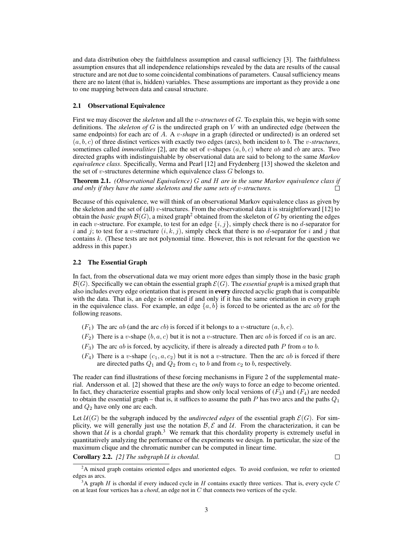and data distribution obey the faithfulness assumption and causal sufficiency [3]. The faithfulness assumption ensures that all independence relationships revealed by the data are results of the causal structure and are not due to some coincidental combinations of parameters. Causal sufficiency means there are no latent (that is, hidden) variables. These assumptions are important as they provide a one to one mapping between data and causal structure.

#### 2.1 Observational Equivalence

First we may discover the *skeleton* and all the v*-structures* of G. To explain this, we begin with some definitions. The *skeleton of* G is the undirected graph on V with an undirected edge (between the same endpoints) for each arc of A. A v*-shape* in a graph (directed or undirected) is an ordered set  $(a, b, c)$  of three distinct vertices with exactly two edges (arcs), both incident to b. The v-structures, sometimes called *immoralities* [2], are the set of v-shapes  $(a, b, c)$  where ab and cb are arcs. Two directed graphs with indistinguishable by observational data are said to belong to the same *Markov equivalence class*. Specifically, Verma and Pearl [12] and Frydenberg [13] showed the skeleton and the set of v-structures determine which equivalence class  $G$  belongs to.

Theorem 2.1. *(Observational Equivalence)* G *and* H *are in the same Markov equivalence class if and only if they have the same skeletons and the same sets of* v*-structures.*  $\Box$ 

Because of this equivalence, we will think of an observational Markov equivalence class as given by the skeleton and the set of (all) v-structures. From the observational data it is straightforward [12] to obtain the *basic graph*  $\mathcal{B}(G)$ , a mixed graph<sup>2</sup> obtained from the skeleton of G by orienting the edges in each v-structure. For example, to test for an edge  $\{i, j\}$ , simply check there is no d-separator for i and j; to test for a v-structure  $(i, k, j)$ , simply check that there is no d-separator for i and j that contains k. (These tests are not polynomial time. However, this is not relevant for the question we address in this paper.)

#### 2.2 The Essential Graph

In fact, from the observational data we may orient more edges than simply those in the basic graph  $\mathcal{B}(G)$ . Specifically we can obtain the essential graph  $\mathcal{E}(G)$ . The *essential graph* is a mixed graph that also includes every edge orientation that is present in every directed acyclic graph that is compatible with the data. That is, an edge is oriented if and only if it has the same orientation in every graph in the equivalence class. For example, an edge  $\{a, b\}$  is forced to be oriented as the arc ab for the following reasons.

- $(F_1)$  The arc ab (and the arc cb) is forced if it belongs to a v-structure  $(a, b, c)$ .
- $(F_2)$  There is a v-shape  $(b, a, c)$  but it is not a v-structure. Then arc ab is forced if ca is an arc.
- $(F_3)$  The arc ab is forced, by acyclicity, if there is already a directed path P from a to b.
- $(F_4)$  There is a v-shape  $(c_1, a, c_2)$  but it is not a v-structure. Then the arc ab is forced if there are directed paths  $Q_1$  and  $Q_2$  from  $c_1$  to b and from  $c_2$  to b, respectively.

The reader can find illustrations of these forcing mechanisms in Figure 2 of the supplemental material. Andersson et al. [2] showed that these are the *only* ways to force an edge to become oriented. In fact, they characterize essential graphs and show only local versions of  $(F_3)$  and  $(F_4)$  are needed to obtain the essential graph – that is, it suffices to assume the path P has two arcs and the paths  $Q_1$ and  $Q_2$  have only one arc each.

Let  $U(G)$  be the subgraph induced by the *undirected edges* of the essential graph  $\mathcal{E}(G)$ . For simplicity, we will generally just use the notation  $\mathcal{B}, \mathcal{E}$  and  $\mathcal{U}$ . From the characterization, it can be shown that  $U$  is a chordal graph.<sup>3</sup> We remark that this chordality property is extremely useful in quantitatively analyzing the performance of the experiments we design. In particular, the size of the maximum clique and the chromatic number can be computed in linear time.

## Corollary 2.2. *[2] The subgraph* U *is chordal.*

 $\Box$ 

<sup>&</sup>lt;sup>2</sup>A mixed graph contains oriented edges and unoriented edges. To avoid confusion, we refer to oriented edges as arcs.

 $3A$  graph H is chordal if every induced cycle in H contains exactly three vertices. That is, every cycle C on at least four vertices has a *chord*, an edge not in C that connects two vertices of the cycle.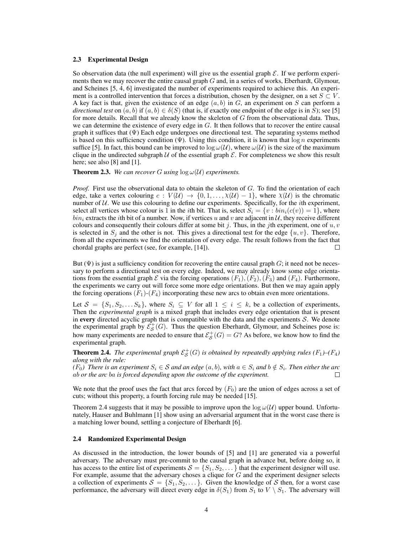#### 2.3 Experimental Design

So observation data (the null experiment) will give us the essential graph  $\mathcal E$ . If we perform experiments then we may recover the entire causal graph G and, in a series of works, Eberhardt, Glymour, and Scheines [5, 4, 6] investigated the number of experiments required to achieve this. An experiment is a controlled intervention that forces a distribution, chosen by the designer, on a set  $S \subset V$ . A key fact is that, given the existence of an edge  $(a, b)$  in G, an experiment on S can perform a *directional test* on  $(a, b)$  if  $(a, b) \in \delta(S)$  (that is, if exactly one endpoint of the edge is in S); see [5] for more details. Recall that we already know the skeleton of G from the observational data. Thus, we can determine the existence of every edge in G. It then follows that to recover the entire causal graph it suffices that  $(\Psi)$  Each edge undergoes one directional test. The separating systems method is based on this sufficiency condition ( $\Psi$ ). Using this condition, it is known that  $\log n$  experiments suffice [5]. In fact, this bound can be improved to  $\log \omega(\mathcal{U})$ , where  $\omega(\mathcal{U})$  is the size of the maximum clique in the undirected subgraph  $U$  of the essential graph  $E$ . For completeness we show this result here; see also [8] and [1].

**Theorem 2.3.** We can recover G using  $\log \omega(\mathcal{U})$  experiments.

*Proof.* First use the observational data to obtain the skeleton of G. To find the orientation of each edge, take a vertex colouring  $c: V(\mathcal{U}) \to \{0, 1, \ldots, \chi(\mathcal{U}) - 1\}$ , where  $\chi(\mathcal{U})$  is the chromatic number of  $U$ . We use this colouring to define our experiments. Specifically, for the *i*th experiment, select all vertices whose colour is 1 in the *i*th bit. That is, select  $S_i = \{v : bin_i(c(v)) = 1\}$ , where  $\sin i$  extracts the *i*th bit of a number. Now, if vertices u and v are adjacent in U, they receive different colours and consequently their colours differ at some bit j. Thus, in the jth experiment, one of  $u, v$ is selected in  $S_i$  and the other is not. This gives a directional test for the edge  $\{u, v\}$ . Therefore, from all the experiments we find the orientation of every edge. The result follows from the fact that chordal graphs are perfect (see, for example, [14]).  $\Box$ 

But  $(\Psi)$  is just a sufficiency condition for recovering the entire causal graph G; it need not be necessary to perform a directional test on every edge. Indeed, we may already know some edge orientations from the essential graph  $\mathcal E$  via the forcing operations  $(F_1), (F_2), (F_3)$  and  $(F_4)$ . Furthermore, the experiments we carry out will force some more edge orientations. But then we may again apply the forcing operations  $(F_1)-(F_4)$  incorporating these new arcs to obtain even more orientations.

Let  $S = \{S_1, S_2, \ldots S_k\}$ , where  $S_i \subseteq V$  for all  $1 \le i \le k$ , be a collection of experiments, Then the *experimental graph* is a mixed graph that includes every edge orientation that is present in every directed acyclic graph that is compatible with the data and the experiments  $S$ . We denote the experimental graph by  $\mathcal{E}_{\mathcal{S}}^{+}(G)$ . Thus the question Eberhardt, Glymour, and Scheines pose is: how many experiments are needed to ensure that  $\mathcal{E}_{\mathcal{S}}^{+}(G) = G$ ? As before, we know how to find the experimental graph.

**Theorem 2.4.** The experimental graph  $\mathcal{E}_{\mathcal{S}}^+(G)$  is obtained by repeatedly applying rules  $(F_1)$ – $(F_4)$ *along with the rule:*

*(F<sub>0</sub>)* There is an experiment  $S_i \in \mathcal{S}$  and an edge  $(a, b)$ , with  $a \in S_i$  and  $b \notin S_i$ . Then either the arc ab *or the arc* ba *is forced depending upon the outcome of the experiment.*  $\Box$ 

We note that the proof uses the fact that arcs forced by  $(F_0)$  are the union of edges across a set of cuts; without this property, a fourth forcing rule may be needed [15].

Theorem 2.4 suggests that it may be possible to improve upon the  $\log \omega(\mathcal{U})$  upper bound. Unfortunately, Hauser and Buhlmann [1] show using an adversarial argument that in the worst case there is a matching lower bound, settling a conjecture of Eberhardt [6].

#### 2.4 Randomized Experimental Design

As discussed in the introduction, the lower bounds of [5] and [1] are generated via a powerful adversary. The adversary must pre-commit to the causal graph in advance but, before doing so, it has access to the entire list of experiments  $S = \{S_1, S_2, \dots\}$  that the experiment designer will use. For example, assume that the adversary choses a clique for  $G$  and the experiment designer selects a collection of experiments  $S = \{S_1, S_2, \dots\}$ . Given the knowledge of S then, for a worst case performance, the adversary will direct every edge in  $\delta(S_1)$  from  $S_1$  to  $V \setminus S_1$ . The adversary will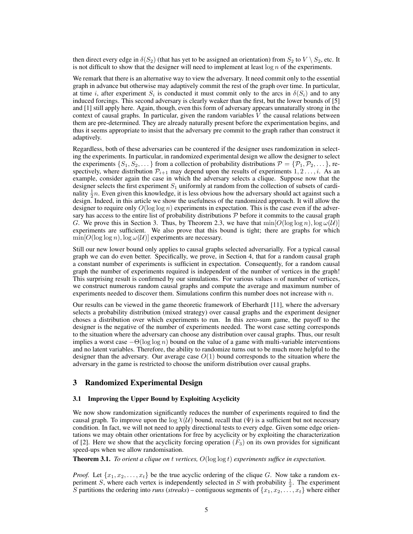then direct every edge in  $\delta(S_2)$  (that has yet to be assigned an orientation) from  $S_2$  to  $V \setminus S_2$ , etc. It is not difficult to show that the designer will need to implement at least  $\log n$  of the experiments.

We remark that there is an alternative way to view the adversary. It need commit only to the essential graph in advance but otherwise may adaptively commit the rest of the graph over time. In particular, at time i, after experiment  $S_i$  is conducted it must commit only to the arcs in  $\delta(S_i)$  and to any induced forcings. This second adversary is clearly weaker than the first, but the lower bounds of [5] and [1] still apply here. Again, though, even this form of adversary appears unnaturally strong in the context of causal graphs. In particular, given the random variables  $V$  the causal relations between them are pre-determined. They are already naturally present before the experimentation begins, and thus it seems appropriate to insist that the adversary pre commit to the graph rather than construct it adaptively.

Regardless, both of these adversaries can be countered if the designer uses randomization in selecting the experiments. In particular, in randomized experimental design we allow the designer to select the experiments  $\{S_1, S_2, \dots\}$  from a collection of probability distributions  $\mathcal{P} = \{P_1, P_2, \dots\}$ , respectively, where distribution  $\mathcal{P}_{i+1}$  may depend upon the results of experiments  $1, 2 \ldots, i$ . As an example, consider again the case in which the adversary selects a clique. Suppose now that the designer selects the first experiment  $S_1$  uniformly at random from the collection of subsets of cardinality  $\frac{1}{2}n$ . Even given this knowledge, it is less obvious how the adversary should act against such a design. Indeed, in this article we show the usefulness of the randomized approach. It will allow the designer to require only  $O(\log \log n)$  experiments in expectation. This is the case even if the adversary has access to the entire list of probability distributions  $P$  before it commits to the causal graph G. We prove this in Section 3. Thus, by Theorem 2.3, we have that  $\min[O(\log \log n), \log \omega(\mathcal{U})]$ experiments are sufficient. We also prove that this bound is tight; there are graphs for which  $\min[O(\log \log n), \log \omega(\mathcal{U})]$  experiments are necessary.

Still our new lower bound only applies to causal graphs selected adversarially. For a typical causal graph we can do even better. Specifically, we prove, in Section 4, that for a random causal graph a constant number of experiments is sufficient in expectation. Consequently, for a random causal graph the number of experiments required is independent of the number of vertices in the graph! This surprising result is confirmed by our simulations. For various values  $n$  of number of vertices, we construct numerous random causal graphs and compute the average and maximum number of experiments needed to discover them. Simulations confirm this number does not increase with  $n$ .

Our results can be viewed in the game theoretic framework of Eberhardt [11], where the adversary selects a probability distribution (mixed strategy) over causal graphs and the experiment designer choses a distribution over which experiments to run. In this zero-sum game, the payoff to the designer is the negative of the number of experiments needed. The worst case setting corresponds to the situation where the adversary can choose any distribution over causal graphs. Thus, our result implies a worst case  $-\Theta(\log \log n)$  bound on the value of a game with multi-variable interventions and no latent variables. Therefore, the ability to randomize turns out to be much more helpful to the designer than the adversary. Our average case  $O(1)$  bound corresponds to the situation where the adversary in the game is restricted to choose the uniform distribution over causal graphs.

## 3 Randomized Experimental Design

#### 3.1 Improving the Upper Bound by Exploiting Acyclicity

We now show randomization significantly reduces the number of experiments required to find the causal graph. To improve upon the  $\log \chi(\mathcal{U})$  bound, recall that ( $\Psi$ ) is a sufficient but not necessary condition. In fact, we will not need to apply directional tests to every edge. Given some edge orientations we may obtain other orientations for free by acyclicity or by exploiting the characterization of [2]. Here we show that the acyclicity forcing operation  $(F_3)$  on its own provides for significant speed-ups when we allow randomisation.

Theorem 3.1. *To orient a clique on* t *vertices,* O(log log t) *experiments suffice in expectation.*

*Proof.* Let  $\{x_1, x_2, \ldots, x_t\}$  be the true acyclic ordering of the clique G. Now take a random experiment S, where each vertex is independently selected in S with probability  $\frac{1}{2}$ . The experiment S partitions the ordering into *runs* (*streaks*) – contiguous segments of  $\{x_1, x_2, \ldots, x_t\}$  where either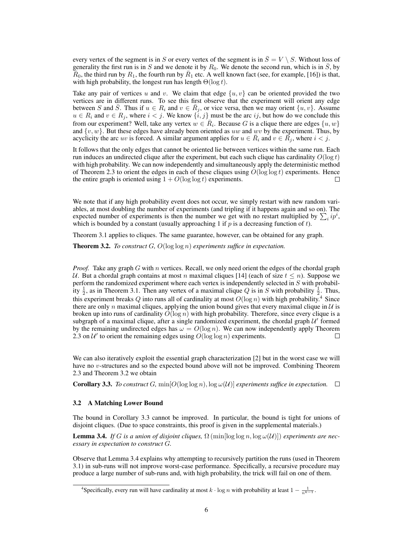every vertex of the segment is in S or every vertex of the segment is in  $\overline{S} = V \setminus S$ . Without loss of generality the first run is in S and we denote it by  $R_0$ . We denote the second run, which is in  $\overline{S}$ , by  $\overline{R}_0$ , the third run by  $R_1$ , the fourth run by  $\overline{R}_1$  etc. A well known fact (see, for example, [16]) is that, with high probability, the longest run has length  $\Theta(\log t)$ .

Take any pair of vertices u and v. We claim that edge  $\{u, v\}$  can be oriented provided the two vertices are in different runs. To see this first observe that the experiment will orient any edge between S and  $\overline{S}$ . Thus if  $u \in R_i$  and  $v \in \overline{R}_j$ , or vice versa, then we may orient  $\{u, v\}$ . Assume  $u \in R_i$  and  $v \in R_j$ , where  $i < j$ . We know  $\{i, j\}$  must be the arc  $ij$ , but how do we conclude this from our experiment? Well, take any vertex  $w \in \overline{R}_i$ . Because G is a clique there are edges  $\{u, w\}$ and  $\{v, w\}$ . But these edges have already been oriented as uw and wv by the experiment. Thus, by acyclicity the arc uv is forced. A similar argument applies for  $u \in \overline{R}_i$  and  $v \in \overline{R}_j$ , where  $i < j$ .

It follows that the only edges that cannot be oriented lie between vertices within the same run. Each run induces an undirected clique after the experiment, but each such clique has cardinality  $O(\log t)$ with high probability. We can now independently and simultaneously apply the deterministic method of Theorem 2.3 to orient the edges in each of these cliques using  $O(\log \log t)$  experiments. Hence the entire graph is oriented using  $1 + O(\log \log t)$  experiments. □

We note that if any high probability event does not occur, we simply restart with new random variables, at most doubling the number of experiments (and tripling if it happens again and so on). The expected number of experiments is then the number we get with no restart multiplied by  $\sum_i i p^i$ , which is bounded by a constant (usually approaching 1 if  $p$  is a decreasing function of  $t$ ).

Theorem 3.1 applies to cliques. The same guarantee, however, can be obtained for any graph.

Theorem 3.2. *To construct* G*,* O(log log n) *experiments suffice in expectation.*

*Proof.* Take any graph G with n vertices. Recall, we only need orient the edges of the chordal graph U. But a chordal graph contains at most n maximal cliques [14] (each of size  $t \leq n$ ). Suppose we perform the randomized experiment where each vertex is independently selected in S with probability  $\frac{1}{2}$ , as in Theorem 3.1. Then any vertex of a maximal clique Q is in S with probability  $\frac{1}{2}$ . Thus, this experiment breaks Q into runs all of cardinality at most  $O(\log n)$  with high probability.<sup>4</sup> Since there are only n maximal cliques, applying the union bound gives that every maximal clique in  $U$  is broken up into runs of cardinality  $O(\log n)$  with high probability. Therefore, since every clique is a subgraph of a maximal clique, after a single randomized experiment, the chordal graph  $\mathcal{U}'$  formed by the remaining undirected edges has  $\omega = O(\log n)$ . We can now independently apply Theorem 2.3 on  $\mathcal{U}'$  to orient the remaining edges using  $O(\log \log n)$  experiments. П

We can also iteratively exploit the essential graph characterization [2] but in the worst case we will have no v-structures and so the expected bound above will not be improved. Combining Theorem 2.3 and Theorem 3.2 we obtain

**Corollary 3.3.** *To construct* G,  $\min[O(\log \log n), \log \omega(\mathcal{U})]$  experiments suffice in expectation.  $\square$ 

#### 3.2 A Matching Lower Bound

The bound in Corollary 3.3 cannot be improved. In particular, the bound is tight for unions of disjoint cliques. (Due to space constraints, this proof is given in the supplemental materials.)

**Lemma 3.4.** *If* G is a union of disjoint cliques,  $\Omega$  (min[log log n, log  $\omega(\mathcal{U})$ ) experiments are nec*essary in expectation to construct* G*.*

Observe that Lemma 3.4 explains why attempting to recursively partition the runs (used in Theorem 3.1) in sub-runs will not improve worst-case performance. Specifically, a recursive procedure may produce a large number of sub-runs and, with high probability, the trick will fail on one of them.

<sup>&</sup>lt;sup>4</sup>Specifically, every run will have cardinality at most  $k \cdot \log n$  with probability at least  $1 - \frac{1}{n^{k-1}}$ .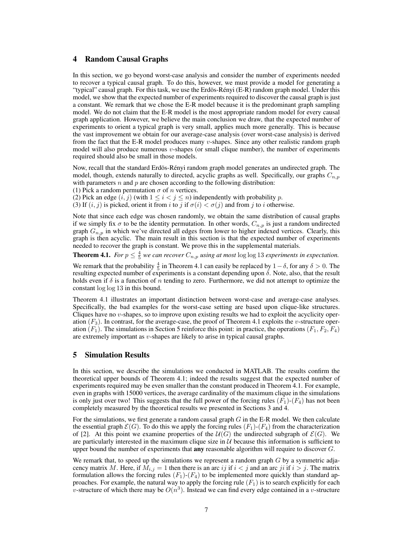# 4 Random Causal Graphs

In this section, we go beyond worst-case analysis and consider the number of experiments needed to recover a typical causal graph. To do this, however, we must provide a model for generating a "typical" causal graph. For this task, we use the Erdös-Rényi (E-R) random graph model. Under this model, we show that the expected number of experiments required to discover the causal graph is just a constant. We remark that we chose the E-R model because it is the predominant graph sampling model. We do not claim that the E-R model is the most appropriate random model for every causal graph application. However, we believe the main conclusion we draw, that the expected number of experiments to orient a typical graph is very small, applies much more generally. This is because the vast improvement we obtain for our average-case analysis (over worst-case analysis) is derived from the fact that the E-R model produces many v-shapes. Since any other realistic random graph model will also produce numerous  $v$ -shapes (or small clique number), the number of experiments required should also be small in those models.

Now, recall that the standard Erdös-Rényi random graph model generates an undirected graph. The model, though, extends naturally to directed, acyclic graphs as well. Specifically, our graphs  $C_{n,p}$ with parameters  $n$  and  $p$  are chosen according to the following distribution:

(1) Pick a random permutation  $\sigma$  of *n* vertices.

(2) Pick an edge  $(i, j)$  (with  $1 \leq i \leq j \leq n$ ) independently with probability p.

(3) If  $(i, j)$  is picked, orient it from i to j if  $\sigma(i) < \sigma(j)$  and from j to i otherwise.

Note that since each edge was chosen randomly, we obtain the same distribution of causal graphs if we simply fix  $\sigma$  to be the identity permutation. In other words,  $C_{n,p}$  is just a random undirected graph  $G_{n,p}$  in which we've directed all edges from lower to higher indexed vertices. Clearly, this graph is then acyclic. The main result in this section is that the expected number of experiments needed to recover the graph is constant. We prove this in the supplemental materials.

**Theorem 4.1.** *For*  $p \leq \frac{4}{5}$  *we can recover*  $C_{n,p}$  *using at most* log log 13 *experiments in expectation.* 

We remark that the probability  $\frac{4}{5}$  in Theorem 4.1 can easily be replaced by  $1-\delta$ , for any  $\delta > 0$ . The resulting expected number of experiments is a constant depending upon  $\delta$ . Note, also, that the result holds even if  $\delta$  is a function of n tending to zero. Furthermore, we did not attempt to optimize the constant log log 13 in this bound.

Theorem 4.1 illustrates an important distinction between worst-case and average-case analyses. Specifically, the bad examples for the worst-case setting are based upon clique-like structures. Cliques have no v-shapes, so to improve upon existing results we had to exploit the acyclicity operation  $(F_3)$ . In contrast, for the average-case, the proof of Theorem 4.1 exploits the v-structure operation  $(F_1)$ . The simulations in Section 5 reinforce this point: in practice, the operations  $(F_1, F_2, F_4)$ are extremely important as v-shapes are likely to arise in typical causal graphs.

# 5 Simulation Results

In this section, we describe the simulations we conducted in MATLAB. The results confirm the theoretical upper bounds of Theorem 4.1; indeed the results suggest that the expected number of experiments required may be even smaller than the constant produced in Theorem 4.1. For example, even in graphs with 15000 vertices, the average cardinality of the maximum clique in the simulations is only just over two! This suggests that the full power of the forcing rules  $(F_1)-(F_4)$  has not been completely measured by the theoretical results we presented in Sections 3 and 4.

For the simulations, we first generate a random causal graph  $G$  in the E-R model. We then calculate the essential graph  $\mathcal{E}(G)$ . To do this we apply the forcing rules  $(F_1)$ - $(F_4)$  from the characterization of [2]. At this point we examine properties of the  $U(G)$  the undirected subgraph of  $\mathcal{E}(G)$ . We are particularly interested in the maximum clique size in  $U$  because this information is sufficient to upper bound the number of experiments that **any** reasonable algorithm will require to discover  $G$ .

We remark that, to speed up the simulations we represent a random graph  $G$  by a symmetric adjacency matrix M. Here, if  $M_{i,j} = 1$  then there is an arc ij if  $i < j$  and an arc ji if  $i > j$ . The matrix formulation allows the forcing rules  $(F_1)$ - $(F_4)$  to be implemented more quickly than standard approaches. For example, the natural way to apply the forcing rule  $(F_1)$  is to search explicitly for each v-structure of which there may be  $O(n^3)$ . Instead we can find every edge contained in a v-structure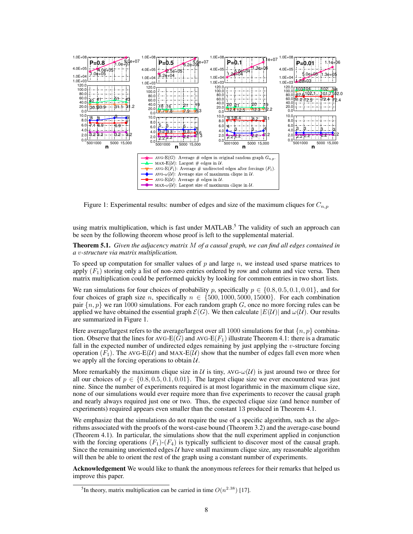

Figure 1: Experimental results: number of edges and size of the maximum cliques for  $C_{n,p}$ 

using matrix multiplication, which is fast under MATLAB.<sup>5</sup> The validity of such an approach can be seen by the following theorem whose proof is left to the supplemental material.

Theorem 5.1. *Given the adjacency matrix* M *of a causal graph, we can find all edges contained in a* v*-structure via matrix multiplication.*

To speed up computation for smaller values of  $p$  and large  $n$ , we instead used sparse matrices to apply  $(F_1)$  storing only a list of non-zero entries ordered by row and column and vice versa. Then matrix multiplication could be performed quickly by looking for common entries in two short lists.

We ran simulations for four choices of probability p, specifically  $p \in \{0.8, 0.5, 0.1, 0.01\}$ , and for four choices of graph size n, specifically  $n \in \{500, 1000, 5000, 15000\}$ . For each combination pair  $\{n, p\}$  we ran 1000 simulations. For each random graph G, once no more forcing rules can be applied we have obtained the essential graph  $\mathcal{E}(G)$ . We then calculate  $|E(\mathcal{U})|$  and  $\omega(\mathcal{U})$ . Our results are summarized in Figure 1.

Here average/largest refers to the average/largest over all 1000 simulations for that  $\{n, p\}$  combination. Observe that the lines for AVG-E(G) and AVG-E(F<sub>1</sub>) illustrate Theorem 4.1: there is a dramatic fall in the expected number of undirected edges remaining by just applying the  $v$ -structure forcing operation  $(F_1)$ . The AVG-E(U) and MAX-E(U) show that the number of edges fall even more when we apply all the forcing operations to obtain  $U$ .

More remarkably the maximum clique size in U is tiny, AVG- $\omega(\mathcal{U})$  is just around two or three for all our choices of  $p \in \{0.8, 0.5, 0.1, 0.01\}$ . The largest clique size we ever encountered was just nine. Since the number of experiments required is at most logarithmic in the maximum clique size, none of our simulations would ever require more than five experiments to recover the causal graph and nearly always required just one or two. Thus, the expected clique size (and hence number of experiments) required appears even smaller than the constant 13 produced in Theorem 4.1.

We emphasize that the simulations do not require the use of a specific algorithm, such as the algorithms associated with the proofs of the worst-case bound (Theorem 3.2) and the average-case bound (Theorem 4.1). In particular, the simulations show that the null experiment applied in conjunction with the forcing operations  $(F_1)$ - $(F_4)$  is typically sufficient to discover most of the causal graph. Since the remaining unoriented edges  $U$  have small maximum clique size, any reasonable algorithm will then be able to orient the rest of the graph using a constant number of experiments.

Acknowledgement We would like to thank the anonymous referees for their remarks that helped us improve this paper.

<sup>&</sup>lt;sup>5</sup>In theory, matrix multiplication can be carried in time  $O(n^{2.38})$  [17].